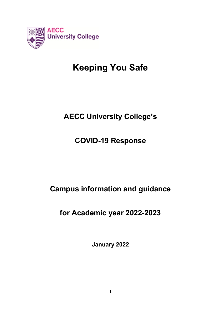

# **Keeping You Safe**

# **AECC University College's**

# **COVID-19 Response**

# **Campus information and guidance**

# **for Academic year 2022-2023**

**January 2022**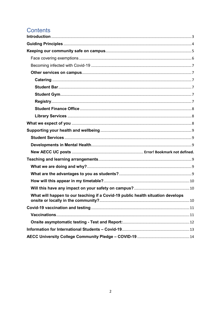## Contents

| What will happen to our teaching if a Covid-19 public health situation develops |  |
|---------------------------------------------------------------------------------|--|
|                                                                                 |  |
|                                                                                 |  |
|                                                                                 |  |
|                                                                                 |  |
|                                                                                 |  |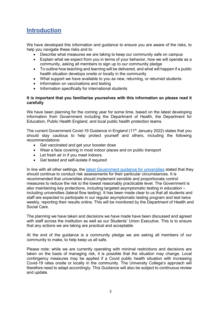### <span id="page-2-0"></span>**Introduction**

We have developed this information and guidance to ensure you are aware of the risks, to help you navigate these risks and to:

- Describe what measures we are taking to keep our community safe on campus
- Explain what we expect from you in terms of your behavior, how we will operate as a community, asking all members to sign up to our community pledge
- To outline how teaching and learning will be delivered, and what will happen if a public health situation develops onsite or locally in the community
- What support we have available to you as new, returning, or returned students
- Information on vaccinations and testing
- Information specifically for international students

### **It is important that you familiarise yourselves with this information so please read it carefully**

We have been planning for the coming year for some time, based on the latest developing information from Government including the Department of Health, the Department for Education, Public Health England, and local public health protection teams.

The current Government Covid-19 Guidance in England  $(11<sup>th</sup>$  January 2022) states that you should stay cautious to help protect yourself and others, including the following recommendations:

- Get vaccinated and get your booster dose
- Wear a face covering in most indoor places and on public transport
- Let fresh air in if you meet indoors.
- Get tested and self-isolate if required

In line with all other settings, the [latest Government guidance for universities](https://www.gov.uk/government/publications/higher-education-reopening-buildings-and-campuses/higher-education-covid-19-operational-guidance) stated that they should continue to conduct risk assessments for their particular circumstances. It is recommended that universities should implement sensible and proportionate control measures to reduce the risk to the lowest reasonably practicable level. The Government is also maintaining key protections, including targeted asymptomatic testing in education – including universities (lateral flow testing). It has been made clear to us that all students and staff are expected to participate in our regular asymptomatic testing program and test twice weekly, reporting their results online. This will be monitored by the Department of Health and Social Care.

The planning we have taken and decisions we have made have been discussed and agreed with staff across the institution as well as our Students' Union Executive. This is to ensure that any actions we are taking are practical and acceptable.

At the end of the guidance is a community pledge we are asking all members of our community to make, to help keep us all safe.

Please note: while we are currently operating with minimal restrictions and decisions are taken on the basis of managing risk, it is possible that the situation may change. Local contingency measures may be applied if a Covid public health situation with increasing Covid-19 rates onsite or locally in the community. The University College's approach will therefore need to adapt accordingly. This Guidance will also be subject to continuous review and update.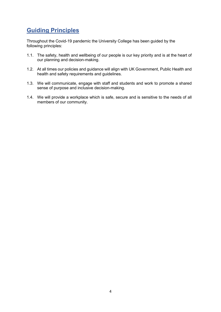### <span id="page-3-0"></span>**Guiding Principles**

Throughout the Covid-19 pandemic the University College has been guided by the following principles:

- 1.1. The safety, health and wellbeing of our people is our key priority and is at the heart of our planning and decision-making.
- 1.2. At all times our policies and guidance will align with UK Government, Public Health and health and safety requirements and guidelines.
- 1.3. We will communicate, engage with staff and students and work to promote a shared sense of purpose and inclusive decision-making.
- 1.4. We will provide a workplace which is safe, secure and is sensitive to the needs of all members of our community.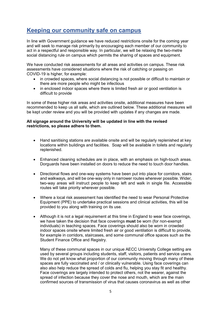### <span id="page-4-0"></span>**Keeping our community safe on campus**

In line with Government guidance we have reduced restrictions onsite for the coming year and will seek to manage risk primarily by encouraging each member of our community to act in a respectful and responsible way. In particular, we will be relaxing the two-metre social distancing rule on campus which permits the sharing of spaces and equipment.

We have conducted risk assessments for all areas and activities on campus. These risk assessments have considered situations where the risk of catching or passing on COVID-19 is higher, for example:

- in crowded spaces, where social distancing is not possible or difficult to maintain or there are more people who might be infectious
- in enclosed indoor spaces where there is limited fresh air or good ventilation is difficult to provide

In some of these higher risk areas and activities onsite, additional measures have been recommended to keep us all safe, which are outlined below. These additional measures will be kept under review and you will be provided with updates if any changes are made.

### **All signage around the University will be updated in line with the revised restrictions, so please adhere to them.**

- Hand sanitising stations are available onsite and will be regularly replenished at key locations within buildings and facilities. Soap will be available in toilets and regularly replenished.
- Enhanced cleaning schedules are in place, with an emphasis on high-touch areas. Dorguards have been installed on doors to reduce the need to touch door handles.
- Directional flows and one-way systems have been put into place for corridors, stairs and walkways, and will be one-way only in narrower routes wherever possible. Wider, two-way areas will instruct people to keep left and walk in single file. Accessible routes will take priority wherever possible.
- Where a local risk assessment has identified the need to wear Personal Protective Equipment (PPE) to undertake practical sessions and clinical activities, this will be provided to you along with training on its use.
- Although it is not a legal requirement at this time in England to wear face coverings, we have taken the decision that face coverings **must** be worn (for non-exempt individuals) in teaching spaces. Face coverings should also be worn in crowded indoor spaces onsite where limited fresh air or good ventilation is difficult to provide, for example in corridors, staircases, and some communal office spaces such as the Student Finance Office and Registry.

Many of these communal spaces in our unique AECC University College setting are used by several groups including students, staff, visitors, patients and service users. We do not yet know what proportion of our community moving through many of these spaces are fully vaccinated and / or clinically vulnerable. Using face coverings can also also help reduce the spread of colds and flu, helping you stay fit and healthy. Face coverings are largely intended to protect others, not the wearer, against the spread of infection because they cover the nose and mouth, which are the main confirmed sources of transmission of virus that causes coronavirus as well as other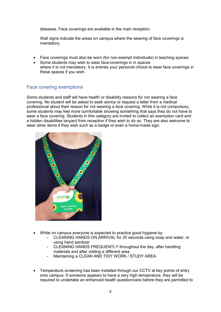diseases. Face coverings are available in the main reception.

Wall signs indicate the areas on campus where the wearing of face coverings is mandatory.

- Face coverings must also be worn (for non-exempt individuals) in teaching spaces
- Some students may wish to wear face-coverings in in spaces where it is not mandatory. It is entirely your personal choice to wear face coverings in these spaces if you wish.

### <span id="page-5-0"></span>Face covering exemptions

Some students and staff will have health or disability reasons for not wearing a face covering. No student will be asked to seek advice or request a letter from a medical professional about their reason for not wearing a face covering. While it is not compulsory, some students may feel more comfortable showing something that says they do not have to wear a face covering. Students in this category are invited to collect an exemption card and a hidden disabilities lanyard from reception if they wish to do so. They are also welcome to wear other items if they wish such as a badge or even a home-made sign.



- While on campus everyone is expected to practice good hygiene by:
	- CLEANING HANDS ON ARRIVAL for 20 seconds using soap and water, or using hand sanitizer
	- CLEANING HANDS FREQUENTLY throughout the day, after handling materials and after visiting a different area
	- Maintaining a CLEAN AND TIDY WORK / STUDY AREA
- Temperature screening has been installed through our CCTV at key points of entry onto campus. If someone appears to have a very high temperature, they will be required to undertake an enhanced health questionnaire before they are permitted to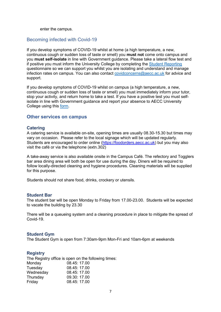enter the campus.

### <span id="page-6-0"></span>Becoming infected with Covid-19

If you develop symptoms of COVID-19 whilst at home (a high temperature, a new, continuous cough or sudden loss of taste or smell) you **must not** come onto campus and you **must self-isolate** in line with Government guidance. Please take a lateral flow test and if positive you must inform the University College by completing the [Student Reporting](https://aeccuc.onlinesurveys.ac.uk/covid-19-symptomisolation-reporting-student-form-v1) questionnaire so we can support you whilst you are isolating and understand and manage infection rates on campus. You can also contact [covidconcerns@aecc.ac.uk](mailto:covidconcerns@aecc.ac.uk) for advice and support.

If you develop symptoms of COVID-19 whilst on campus (a high temperature, a new, continuous cough or sudden loss of taste or smell) you must immediately inform your tutor, stop your activity, and return home to take a test. If you have a positive test you must selfisolate in line with Government guidance and report your absence to AECC University College using this [form.](https://admin.onlinesurveys.ac.uk/account/aeccuc/analyse/798796/)

#### <span id="page-6-1"></span>**Other services on campus**

#### <span id="page-6-2"></span>**Catering**

A catering service is available on-site, opening times are usually 08.30-15.30 but times may vary on occasion. Please refer to the local signage which will be updated regularly. Students are encouraged to order online [\(https://foodorders.aecc.ac.uk\)](https://foodorders.aecc.ac.uk/) but you may also visit the café or via the telephone (extn.302)

A take-away service is also available onsite in the Campus Café. The refectory and Togglers bar area dining area will both be open for use during the day. Diners will be required to follow locally-directed cleaning and hygiene procedures. Cleaning materials will be supplied for this purpose.

Students should not share food, drinks, crockery or utensils.

#### <span id="page-6-3"></span>**Student Bar**

The student bar will be open Monday to Friday from 17.00-23.00. Students will be expected to vacate the building by 23.30

There will be a queueing system and a cleaning procedure in place to mitigate the spread of Covid-19.

#### <span id="page-6-4"></span>**Student Gym**

The Student Gym is open from 7:30am-9pm Mon-Fri and 10am-6pm at weekends

#### <span id="page-6-5"></span>**Registry**

The Registry office is open on the following times: Monday 08.45: 17.00 Tuesday 08.45: 17.00 Wednesday 08.45: 17.00 Thursday 09.30: 17.00 Friday 08.45: 17.00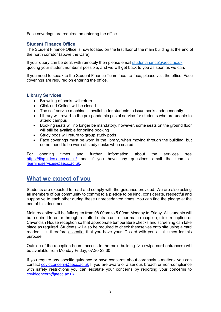Face coverings are required on entering the office.

### <span id="page-7-0"></span>**Student Finance Office**

The Student Finance Office is now located on the first floor of the main building at the end of the north corridor (above the Café).

If your query can be dealt with remotely then please email [studentfinance@aecc.ac.uk,](mailto:studentfinance@aecc.ac.uk) quoting your student number if possible, and we will get back to you as soon as we can.

If you need to speak to the Student Finance Team face- to-face, please visit the office. Face coverings are required on entering the office.

### <span id="page-7-1"></span>**Library Services**

- Browsing of books will return
- Click and Collect will be closed
- The self-service machine is available for students to issue books independently
- Library will revert to the pre-pandemic postal service for students who are unable to attend campus
- Booking seats will no longer be mandatory, however, some seats on the ground floor will still be available for online booking
- Study pods will return to group study pods
- Face coverings must be worn in the library, when moving through the building, but do not need to be worn at study desks when seated

For opening times and further information about the services see <https://libguides.aecc.ac.uk/> and if you have any questions email the team at [learningservices@aecc.ac.uk.](mailto:learningservices@aecc.ac.uk)

### <span id="page-7-2"></span>**What we expect of you**

Students are expected to read and comply with the guidance provided. We are also asking all members of our community to commit to a **pledge** to be kind, considerate, respectful and supportive to each other during these unprecedented times. You can find the pledge at the end of this document.

Main reception will be fully open from 08.00am to 5.00pm Monday to Friday. All students will be required to enter through a staffed entrance – either main reception, clinic reception or Cavendish House reception so that appropriate temperature checks and screening can take place as required. Students will also be required to check themselves onto site using a card reader. It is therefore essential that you have your ID card with you at all times for this purpose.

Outside of the reception hours, access to the main building (via swipe card entrances) will be available from Monday-Friday, 07.30-23.30

If you require any specific guidance or have concerns about coronavirus matters, you can contact [covidconcern@aecc.ac.uk](mailto:covidconcern@aecc.ac.uk) If you are aware of a serious breach or non-compliance with safety restrictions you can escalate your concerns by reporting your concerns to [covidconcern@aecc.ac.uk](mailto:covidconcern@aecc.ac.uk)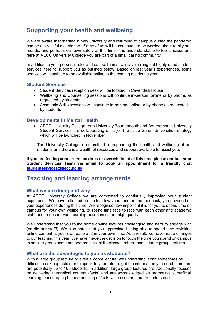### <span id="page-8-0"></span>**Supporting your health and wellbeing**

We are aware that starting a new university and returning to campus during the pandemic can be a stressful experience. Some of us will be continued to be worried about family and friends, and perhaps our own safety at this time. It is understandable to feel anxious and here at AECC University College you are part of a small caring community.

In addition to your personal tutor and course teams, we have a range of highly rated student services here to support you as outlined below. Based on last year's experiences, some services will continue to be available online in the coming academic year.

### <span id="page-8-1"></span>**Student Services**

- Student Services reception desk will be located in Cavendish House
- Wellbeing and Counselling sessions will continue in-person, online or by phone, as requested by students
- Academic Skills sessions will continue in-person, online or by phone as requested by students

### <span id="page-8-2"></span>**Developments in Mental Health**

• AECC University College, Arts University Bournemouth and Bournemouth University Student Services are collaborating on a joint 'Suicide Safer' Universities strategy which will be launched in November

The University College is committed to supporting the health and wellbeing of our students and there is a wealth of resources and support available to assist you:

**If you are feeling concerned, anxious or overwhelmed at this time please contact your Student Services Team via email to book an appointment for a friendly chat [studentservices@aecc.ac.uk](mailto:studentservices@aecc.ac.uk)**

### <span id="page-8-3"></span>**Teaching and learning arrangements**

### <span id="page-8-4"></span>**What we are doing and why**

At AECC University College we are committed to continually improving your student experience. We have reflected on the last few years and on the feedback, you provided on your experiences during this time. We recognise how important it is for you to spend time on campus for your own wellbeing, to spend time face to face with each other and academic staff, and to ensure your learning experiences are high quality.

We understand that you found some on-line lectures challenging and hard to engage with (so did our staff!) We also noted that you appreciated being able to spend time revisiting online content at your own pace and in your own time. As a result, we have made changes to our teaching this year. We have made the decision to focus the time you spend on campus in smaller group seminars and practical skills classes rather than in large group lectures.

### <span id="page-8-5"></span>**What are the advantages to you as students?**

With a large group lecture or even a Zoom lecture, we understand it can sometimes be difficult to ask a question or to speak to your tutor to get the information you need; numbers are potentially up to 160 students. In addition, large group lectures are traditionally focused on delivering theoretical content (facts) and are acknowledged as promoting 'superficial' learning, encouraging the memorising of facts which can be hard to understand.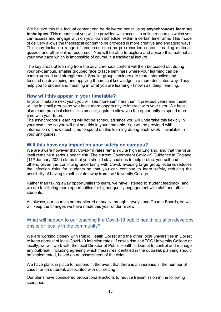We believe this this factual content can be delivered better using **asynchronous learning techniques**. This means that you will be provided with access to online resources which you can access and engage with on your own schedule, within a certain timeframe. This mode of delivery allows the theoretical content to be provided in more creative and engaging ways. This may include a range of resources such as pre-recorded content, reading material, quizzes and other online resources. You will be able to explore and absorb this material at your own pace which is impossible of course in a traditional lecture.

The key areas of learning from the asynchronous content will then be teased out during your on-campus, smaller grouped face to face seminars where your learning can be contextualised and strengthened. Smaller group seminars are more interactive and focused on developing and applying theoretical knowledge in a more dedicated way. They help you to understand meaning in what you are learning - known as 'deep' learning.

### <span id="page-9-0"></span>**How will this appear in your timetable?**

In your timetable next year, you will see more seminars than in previous years and these will be in small groups so you have more opportunity to interact with your tutor. We have also made practical class sizes smaller, again to allow you the opportunity to spend more time with your tutors.

The asynchronous learning will not be scheduled since you will undertake this flexibly in your own time so you will not see this in your timetable. You will be provided with information on how much time to spend on this learning during each week – available in your unit guides.

### <span id="page-9-1"></span>**Will this have any impact on your safety on campus?**

We are aware however that Covid-19 rates remain quite high in England, and that the virus itself remains a serious health risk. The current Government Covid-19 Guidance in England  $(11<sup>th</sup>$  January 2022) states that you should stay cautious to help protect yourself and others. Given the continuing uncertainty with Covid, avoiding large group lectures reduces the infection risks for students so that you can continue to learn safely, reducing the possibility of having to self-isolate away from the University College.

Rather than taking away opportunities to learn, we have listened to student feedback, and we are facilitating more opportunities for higher quality engagement with staff and other students.

As always, our courses are monitored annually through surveys and Course Boards, so we will keep the changes we have made this year under review.

### <span id="page-9-2"></span>What will happen to our teaching if a Covid-19 public health situation develops onsite or locally in the community?

We are working closely with Public Health Dorset and the other local universities in Dorset to keep abreast of local Covid-19 infection rates. If cases rise at AECC University College or locally, we will work with the local Director of Public Health in Dorset to control and manage any outbreak, including agreeing which measures identified in the outbreak planning should be implemented, based on an assessment of the risks.

We have plans in place to respond in the event that there is an increase in the number of cases, or an outbreak associated with our setting.

Our plans have considered proportionate actions to reduce transmission in the following scenarios: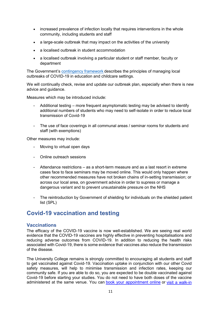- increased prevalence of infection locally that requires interventions in the whole community, including students and staff
- a large-scale outbreak that may impact on the activities of the university
- a localised outbreak in student accommodation
- a localised outbreak involving a particular student or staff member, faculty or department

The Government's [contingency framework](https://www.gov.uk/government/publications/coronavirus-covid-19-local-restrictions-in-education-and-childcare-settings) describes the principles of managing local outbreaks of COVID-19 in education and childcare settings.

We will continually check, revise and update our outbreak plan, especially when there is new advice and guidance.

Measures which may be introduced include:

- Additional testing more frequent asymptomatic testing may be advised to identify additional numbers of students who may need to self-isolate in order to reduce local transmission of Covid-19
- The use of face coverings in all communal areas / seminar rooms for students and staff (with exemptions)

Other measures may include:

- Moving to virtual open days
- Online outreach sessions
- Attendance restrictions as a short-term measure and as a last resort in extreme cases face to face seminars may be moved online. This would only happen where other recommended measures have not broken chains of in-setting transmission; or across our local area, on government advice in order to supress or manage a dangerous variant and to prevent unsustainable pressure on the NHS
- The reintroduction by Government of shielding for individuals on the shielded patient list (SPL)

### <span id="page-10-0"></span>**Covid-19 vaccination and testing**

### <span id="page-10-1"></span>**Vaccinations**

The efficacy of the COVID-19 vaccine is now well-established. We are seeing real world evidence that the COVID-19 vaccines are highly effective in preventing hospitalisations and reducing adverse outcomes from COVID-19. In addition to reducing the health risks associated with Covid-19, there is some evidence that vaccines also reduce the transmission of the disease.

The University College remains is strongly committed to encouraging all students and staff to get vaccinated against Covid-19. Vaccination uptake in conjunction with our other Covid safety measures, will help to minimise transmission and infection rates, keeping our community safe. If you are able to do so, you are expected to be double vaccinated against Covid-19 before starting your studies. You do not need to have both doses of the vaccine administered at the same venue. You can [book your appointment online](https://www.nhs.uk/conditions/coronavirus-covid-19/coronavirus-vaccination/book-coronavirus-vaccination/) or [visit a walk-in](https://www.nhs.uk/service-search/find-a-walk-in-coronavirus-covid-19-vaccination-site)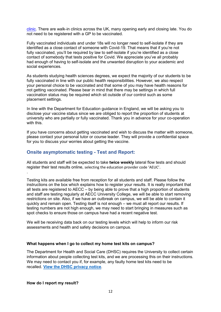[clinic.](https://www.nhs.uk/service-search/find-a-walk-in-coronavirus-covid-19-vaccination-site) There are walk-in clinics across the UK, many opening early and closing late. You do not need to be registered with a GP to be vaccinated.

Fully vaccinated individuals and under 18s will no longer need to self-isolate if they are identified as a close contact of someone with Covid-19. That means that if you're not fully vaccinated, you'll be required by law to self-isolate if you're identified as a close contact of somebody that tests positive for Covid. We appreciate you've all probably had enough of having to self-isolate and the unwanted disruption to your academic and social experiences.

As students studying health sciences degrees, we expect the majority of our students to be fully vaccinated in line with our public health responsibilities. However, we also respect your personal choice to be vaccinated and that some of you may have health reasons for not getting vaccinated. Please bear in mind that there may be settings in which full vaccination status may be required which sit outside of our control such as some placement settings.

In line with the Department for Education guidance in England, we will be asking you to disclose your vaccine status since we are obliged to report the proportion of students at university who are partially or fully vaccinated. Thank you in advance for your co-operation with this.

If you have concerns about getting vaccinated and wish to discuss the matter with someone, please contact your personal tutor or course leader. They will provide a confidential space for you to discuss your worries about getting the vaccine.

### <span id="page-11-0"></span>**Onsite asymptomatic testing - Test and Report:**

All students and staff will be expected to take **twice weekly** lateral flow tests and should register their test results online, selecting the education provider code 'AEUC'.

Testing kits are available free from reception for all students and staff. Please follow the instructions on the box which explains how to register your results. It is really important that all tests are registered to AECC – by being able to prove that a high proportion of students and staff are testing regularly at AECC University College, we will be able to start removing restrictions on site. Also, if we have an outbreak on campus, we will be able to contain it quickly and remain open. Testing itself is not enough – we must all report our results. If testing numbers are not high enough, we may need to start bringing in measures such as spot checks to ensure those on campus have had a recent negative test.

We will be receiving data back on our testing levels which will help to inform our risk assessments and health and safety decisions on campus.

### **What happens when I go to collect my home test kits on campus?**

The Department for Health and Social Care (DHSC) requires the University to collect certain information about people collecting test kits, and we are processing this on their instructions. We may need to contact you if, for example, any faulty home test kits need to be recalled. **[View the DHSC privacy notice](https://www.gov.uk/government/publications/coronavirus-covid-19-testing-privacy-information/testing-for-coronavirus-privacy-information--2)**.

### **How do I report my result?**

.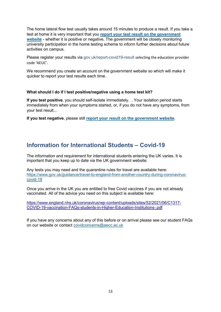The home lateral flow test usually takes around 15 minutes to produce a result. If you take a test at home it is very important that you **[report your test result on the government](https://www.gov.uk/report-covid19-result)  [website](https://www.gov.uk/report-covid19-result)** - whether it is positive or negative. The government will be closely monitoring university participation in the home testing scheme to inform further decisions about future activities on campus.

Please register your results via gov.uk/report-covid19-result selecting the education provider code 'AEUC'.

We recommend you create an account on the government website so which will make it quicker to report your test results each time.

### **What should I do if I test positive/negative using a home test kit?**

**If you test positive**, you should self-isolate immediately. . Your isolation period starts immediately from when your symptoms started, or, if you do not have any symptoms, from your test result...

**If you test negative**, please still **[report your result on the government website](https://www.gov.uk/report-covid19-result)**.

### <span id="page-12-0"></span>**Information for International Students – Covid-19**

The information and requirement for international students entering the UK varies. It is important that you keep up to date via the UK government website:

Any tests you may need and the quarantine rules for travel are available here: [https://www.gov.uk/guidance/travel-to-england-from-another-country-during-coronavirus](https://www.gov.uk/guidance/travel-to-england-from-another-country-during-coronavirus-covid-19)[covid-19](https://www.gov.uk/guidance/travel-to-england-from-another-country-during-coronavirus-covid-19)

Once you arrive in the UK you are entitled to free Covid vaccines if you are not already vaccinated. All of the advice you need on this subject is available here:

[https://www.england.nhs.uk/coronavirus/wp-content/uploads/sites/52/2021/06/C1317-](https://www.england.nhs.uk/coronavirus/wp-content/uploads/sites/52/2021/06/C1317-COVID-19-vaccination-FAQs-students-in-Higher-Education-Institutions-.pdf) [COVID-19-vaccination-FAQs-students-in-Higher-Education-Institutions-.pdf](https://www.england.nhs.uk/coronavirus/wp-content/uploads/sites/52/2021/06/C1317-COVID-19-vaccination-FAQs-students-in-Higher-Education-Institutions-.pdf)

<span id="page-12-1"></span>If you have any concerns about any of this before or on arrival please see our student FAQs on our website or contact [covidconcerns@aecc.ac.uk](mailto:covidconcerns@aecc.ac.uk)